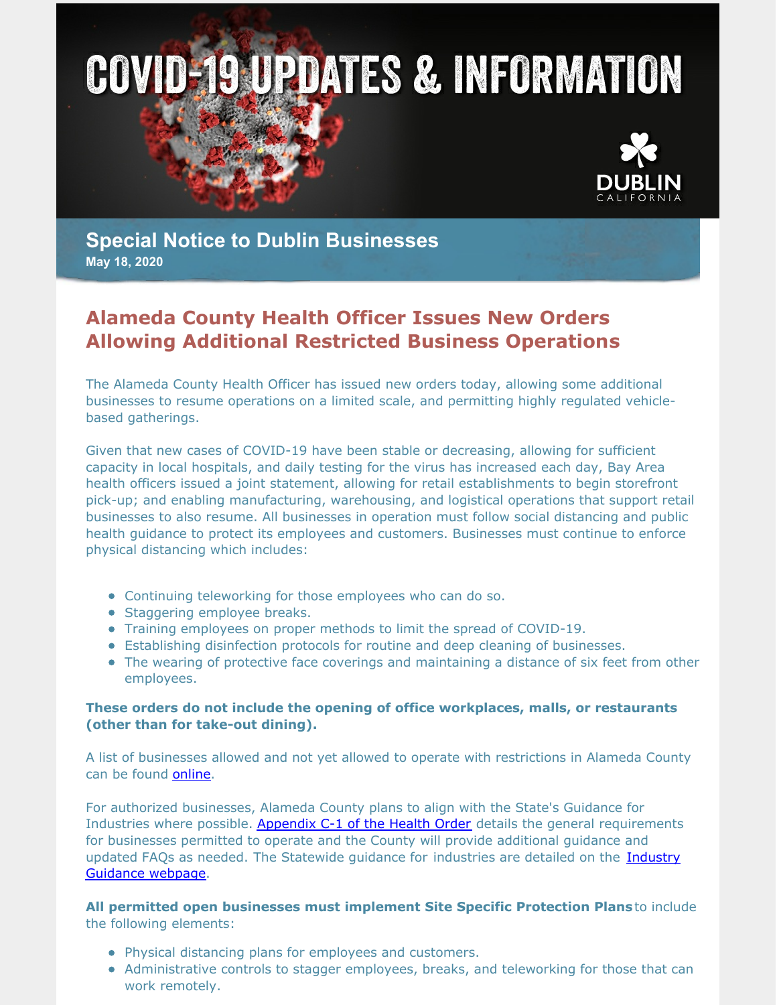



**Special Notice to Dublin Businesses May 18, 2020**

## **Alameda County Health Officer Issues New Orders Allowing Additional Restricted Business Operations**

The Alameda County Health Officer has issued new orders today, allowing some additional businesses to resume operations on a limited scale, and permitting highly regulated vehiclebased gatherings.

Given that new cases of COVID-19 have been stable or decreasing, allowing for sufficient capacity in local hospitals, and daily testing for the virus has increased each day, Bay Area health officers issued a joint statement, allowing for retail establishments to begin storefront pick-up; and enabling manufacturing, warehousing, and logistical operations that support retail businesses to also resume. All businesses in operation must follow social distancing and public health guidance to protect its employees and customers. Businesses must continue to enforce physical distancing which includes:

- Continuing teleworking for those employees who can do so.
- Staggering employee breaks.
- Training employees on proper methods to limit the spread of COVID-19.
- Establishing disinfection protocols for routine and deep cleaning of businesses.
- The wearing of protective face coverings and maintaining a distance of six feet from other employees.

## **These orders do not include the opening of office workplaces, malls, or restaurants (other than for take-out dining).**

A list of businesses allowed and not yet allowed to operate with restrictions in Alameda County can be found [online](https://dublin.ca.gov/DocumentCenter/View/22562/51820-SIP-Order-Businesses).

For authorized businesses, Alameda County plans to align with the State's Guidance for Industries where possible. [Appendix](http://www.acphd.org/media/577585/alameda-county-health-officer-order-20-11-appendix-c1-english.pdf) C-1 of the Health Order details the general requirements for businesses permitted to operate and the County will provide additional guidance and updated FAQs as needed. The [Statewide](https://covid19.ca.gov/industry-guidance/) guidance for industries are detailed on the Industry Guidance webpage.

**All permitted open businesses must implement Site Specific Protection Plans**to include the following elements:

- Physical distancing plans for employees and customers.
- Administrative controls to stagger employees, breaks, and teleworking for those that can work remotely.